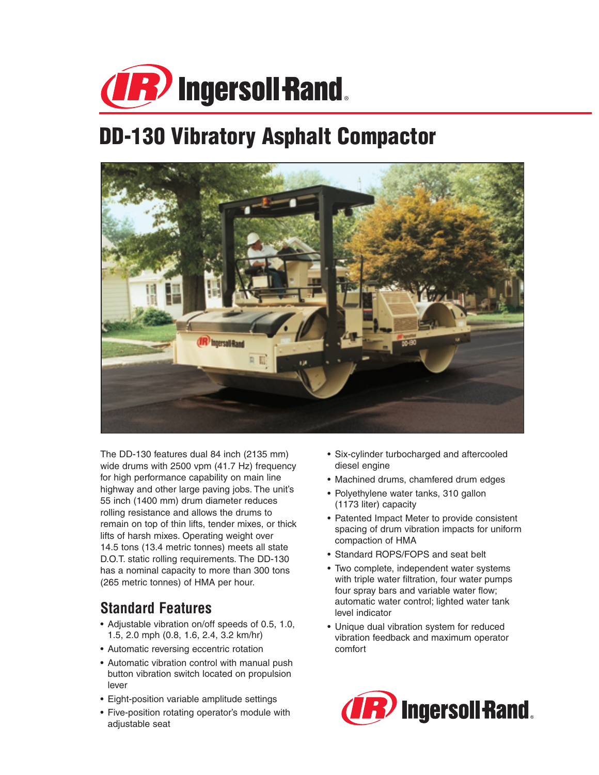

# **DD-130 Vibratory Asphalt Compactor**



The DD-130 features dual 84 inch (2135 mm) wide drums with 2500 vpm (41.7 Hz) frequency for high performance capability on main line highway and other large paving jobs. The unit's 55 inch (1400 mm) drum diameter reduces rolling resistance and allows the drums to remain on top of thin lifts, tender mixes, or thick lifts of harsh mixes. Operating weight over 14.5 tons (13.4 metric tonnes) meets all state D.O.T. static rolling requirements. The DD-130 has a nominal capacity to more than 300 tons (265 metric tonnes) of HMA per hour.

## **Standard Features**

- Adjustable vibration on/off speeds of 0.5, 1.0, 1.5, 2.0 mph (0.8, 1.6, 2.4, 3.2 km/hr)
- Automatic reversing eccentric rotation
- Automatic vibration control with manual push button vibration switch located on propulsion lever
- Eight-position variable amplitude settings
- Five-position rotating operator's module with adjustable seat
- Six-cylinder turbocharged and aftercooled diesel engine
- Machined drums, chamfered drum edges
- Polyethylene water tanks, 310 gallon (1173 liter) capacity
- Patented Impact Meter to provide consistent spacing of drum vibration impacts for uniform compaction of HMA
- Standard ROPS/FOPS and seat belt
- Two complete, independent water systems with triple water filtration, four water pumps four spray bars and variable water flow; automatic water control; lighted water tank level indicator
- Unique dual vibration system for reduced vibration feedback and maximum operator comfort